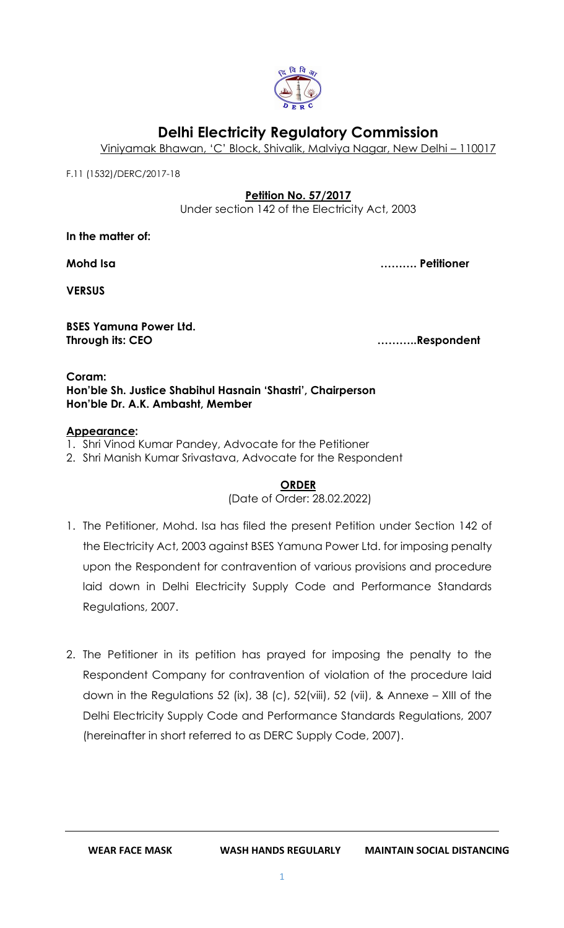

# **Delhi Electricity Regulatory Commission**

Viniyamak Bhawan, 'C' Block, Shivalik, Malviya Nagar, New Delhi – 110017

F.11 (1532)/DERC/2017-18

### **Petition No. 57/2017**

Under section 142 of the Electricity Act, 2003

**In the matter of:**

**Mohd Isa ………. Petitioner**

**VERSUS**

**BSES Yamuna Power Ltd. Through its: CEO ………..Respondent**

#### **Coram: Hon'ble Sh. Justice Shabihul Hasnain 'Shastri', Chairperson Hon'ble Dr. A.K. Ambasht, Member**

### **Appearance:**

- 1. Shri Vinod Kumar Pandey, Advocate for the Petitioner
- 2. Shri Manish Kumar Srivastava, Advocate for the Respondent

### **ORDER**

(Date of Order: 28.02.2022)

- 1. The Petitioner, Mohd. Isa has filed the present Petition under Section 142 of the Electricity Act, 2003 against BSES Yamuna Power Ltd. for imposing penalty upon the Respondent for contravention of various provisions and procedure laid down in Delhi Electricity Supply Code and Performance Standards Regulations, 2007.
- 2. The Petitioner in its petition has prayed for imposing the penalty to the Respondent Company for contravention of violation of the procedure laid down in the Regulations 52 (ix), 38 (c), 52(viii), 52 (vii), & Annexe – XIII of the Delhi Electricity Supply Code and Performance Standards Regulations, 2007 (hereinafter in short referred to as DERC Supply Code, 2007).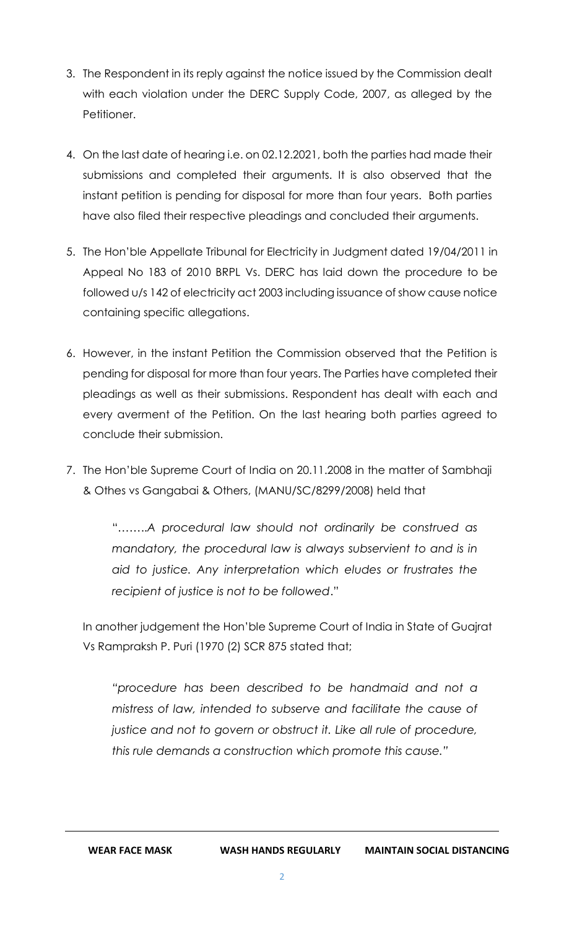- 3. The Respondent in its reply against the notice issued by the Commission dealt with each violation under the DERC Supply Code, 2007, as alleged by the Petitioner.
- 4. On the last date of hearing i.e. on 02.12.2021, both the parties had made their submissions and completed their arguments. It is also observed that the instant petition is pending for disposal for more than four years. Both parties have also filed their respective pleadings and concluded their arguments.
- 5. The Hon'ble Appellate Tribunal for Electricity in Judgment dated 19/04/2011 in Appeal No 183 of 2010 BRPL Vs. DERC has laid down the procedure to be followed u/s 142 of electricity act 2003 including issuance of show cause notice containing specific allegations.
- 6. However, in the instant Petition the Commission observed that the Petition is pending for disposal for more than four years. The Parties have completed their pleadings as well as their submissions. Respondent has dealt with each and every averment of the Petition. On the last hearing both parties agreed to conclude their submission.
- 7. The Hon'ble Supreme Court of India on 20.11.2008 in the matter of Sambhaji & Othes vs Gangabai & Others, (MANU/SC/8299/2008) held that

"……..*A procedural law should not ordinarily be construed as mandatory, the procedural law is always subservient to and is in aid to justice. Any interpretation which eludes or frustrates the recipient of justice is not to be followed*."

In another judgement the Hon'ble Supreme Court of India in State of Guajrat Vs Rampraksh P. Puri (1970 (2) SCR 875 stated that;

*"procedure has been described to be handmaid and not a mistress of law, intended to subserve and facilitate the cause of justice and not to govern or obstruct it. Like all rule of procedure, this rule demands a construction which promote this cause."*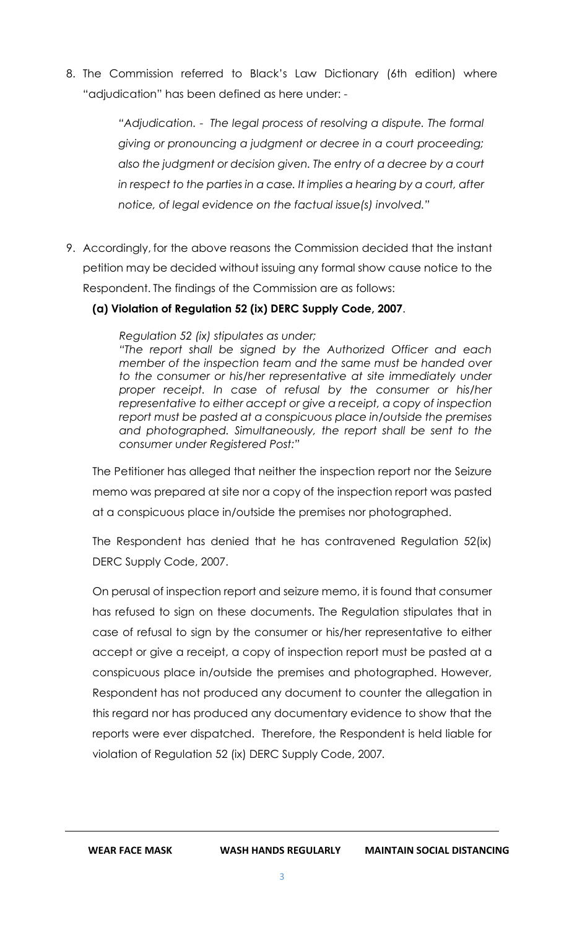8. The Commission referred to Black's Law Dictionary (6th edition) where "adjudication" has been defined as here under: -

> *"Adjudication. - The legal process of resolving a dispute. The formal giving or pronouncing a judgment or decree in a court proceeding; also the judgment or decision given. The entry of a decree by a court in respect to the parties in a case. It implies a hearing by a court, after notice, of legal evidence on the factual issue(s) involved."*

9. Accordingly, for the above reasons the Commission decided that the instant petition may be decided without issuing any formal show cause notice to the Respondent. The findings of the Commission are as follows:

### **(a) Violation of Regulation 52 (ix) DERC Supply Code, 2007**.

*Regulation 52 (ix) stipulates as under;*

*"The report shall be signed by the Authorized Officer and each member of the inspection team and the same must be handed over to the consumer or his/her representative at site immediately under proper receipt. In case of refusal by the consumer or his/her representative to either accept or give a receipt, a copy of inspection report must be pasted at a conspicuous place in/outside the premises and photographed. Simultaneously, the report shall be sent to the consumer under Registered Post:"*

The Petitioner has alleged that neither the inspection report nor the Seizure memo was prepared at site nor a copy of the inspection report was pasted at a conspicuous place in/outside the premises nor photographed.

The Respondent has denied that he has contravened Regulation 52(ix) DERC Supply Code, 2007.

On perusal of inspection report and seizure memo, it is found that consumer has refused to sign on these documents. The Regulation stipulates that in case of refusal to sign by the consumer or his/her representative to either accept or give a receipt, a copy of inspection report must be pasted at a conspicuous place in/outside the premises and photographed. However, Respondent has not produced any document to counter the allegation in this regard nor has produced any documentary evidence to show that the reports were ever dispatched. Therefore, the Respondent is held liable for violation of Regulation 52 (ix) DERC Supply Code, 2007*.*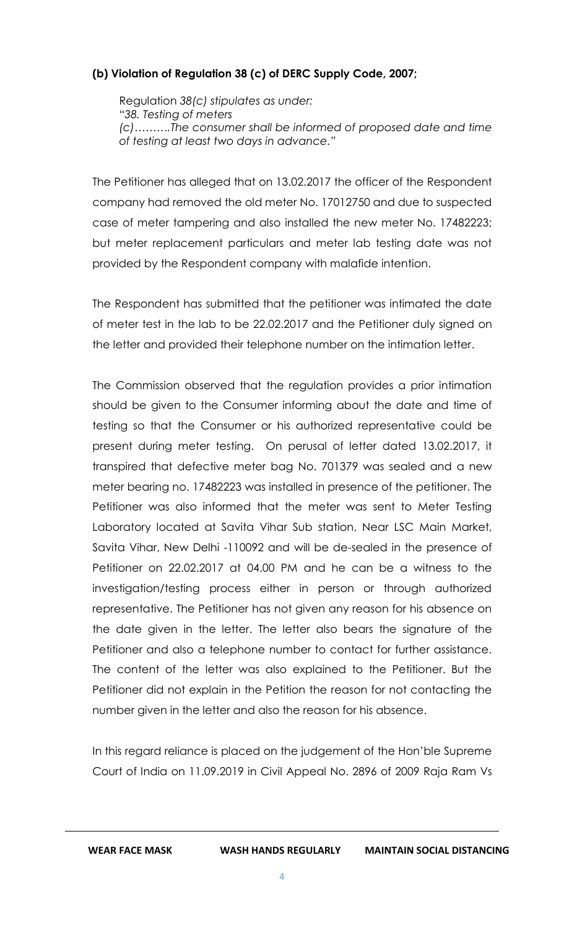# **(b) Violation of Regulation 38 (c) of DERC Supply Code, 2007;**

Regulation *38(c) stipulates as under:* "*38. Testing of meters (c)……….The consumer shall be informed of proposed date and time of testing at least two days in advance."*

The Petitioner has alleged that on 13.02.2017 the officer of the Respondent company had removed the old meter No. 17012750 and due to suspected case of meter tampering and also installed the new meter No. 17482223; but meter replacement particulars and meter lab testing date was not provided by the Respondent company with malafide intention.

The Respondent has submitted that the petitioner was intimated the date of meter test in the lab to be 22.02.2017 and the Petitioner duly signed on the letter and provided their telephone number on the intimation letter.

The Commission observed that the regulation provides a prior intimation should be given to the Consumer informing about the date and time of testing so that the Consumer or his authorized representative could be present during meter testing. On perusal of letter dated 13.02.2017, it transpired that defective meter bag No. 701379 was sealed and a new meter bearing no. 17482223 was installed in presence of the petitioner. The Petitioner was also informed that the meter was sent to Meter Testing Laboratory located at Savita Vihar Sub station, Near LSC Main Market, Savita Vihar, New Delhi -110092 and will be de-sealed in the presence of Petitioner on 22.02.2017 at 04.00 PM and he can be a witness to the investigation/testing process either in person or through authorized representative. The Petitioner has not given any reason for his absence on the date given in the letter. The letter also bears the signature of the Petitioner and also a telephone number to contact for further assistance. The content of the letter was also explained to the Petitioner. But the Petitioner did not explain in the Petition the reason for not contacting the number given in the letter and also the reason for his absence.

In this regard reliance is placed on the judgement of the Hon'ble Supreme Court of India on 11.09.2019 in Civil Appeal No. 2896 of 2009 Raja Ram Vs

 $\Delta$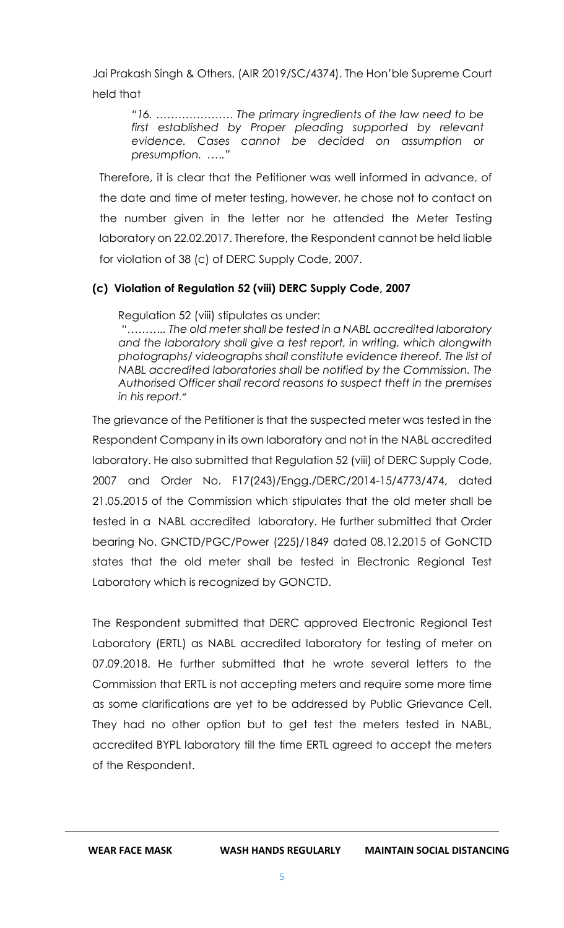Jai Prakash Singh & Others, (AIR 2019/SC/4374). The Hon'ble Supreme Court held that

*"16. ………………… The primary ingredients of the law need to be*  first established by Proper pleading supported by relevant *evidence. Cases cannot be decided on assumption or presumption. .…."*

Therefore, it is clear that the Petitioner was well informed in advance, of the date and time of meter testing, however, he chose not to contact on the number given in the letter nor he attended the Meter Testing laboratory on 22.02.2017. Therefore, the Respondent cannot be held liable for violation of 38 (c) of DERC Supply Code, 2007.

# **(c) Violation of Regulation 52 (viii) DERC Supply Code, 2007**

Regulation 52 (viii) stipulates as under:

*"……….. The old meter shall be tested in a NABL accredited laboratory and the laboratory shall give a test report, in writing, which alongwith photographs/ videographs shall constitute evidence thereof. The list of NABL accredited laboratories shall be notified by the Commission. The Authorised Officer shall record reasons to suspect theft in the premises in his report."*

The grievance of the Petitioner is that the suspected meter was tested in the Respondent Company in its own laboratory and not in the NABL accredited laboratory. He also submitted that Regulation 52 (viii) of DERC Supply Code, 2007 and Order No. F17(243)/Engg./DERC/2014-15/4773/474, dated 21.05.2015 of the Commission which stipulates that the old meter shall be tested in a NABL accredited laboratory. He further submitted that Order bearing No. GNCTD/PGC/Power (225)/1849 dated 08.12.2015 of GoNCTD states that the old meter shall be tested in Electronic Regional Test Laboratory which is recognized by GONCTD.

The Respondent submitted that DERC approved Electronic Regional Test Laboratory (ERTL) as NABL accredited laboratory for testing of meter on 07.09.2018. He further submitted that he wrote several letters to the Commission that ERTL is not accepting meters and require some more time as some clarifications are yet to be addressed by Public Grievance Cell. They had no other option but to get test the meters tested in NABL, accredited BYPL laboratory till the time ERTL agreed to accept the meters of the Respondent.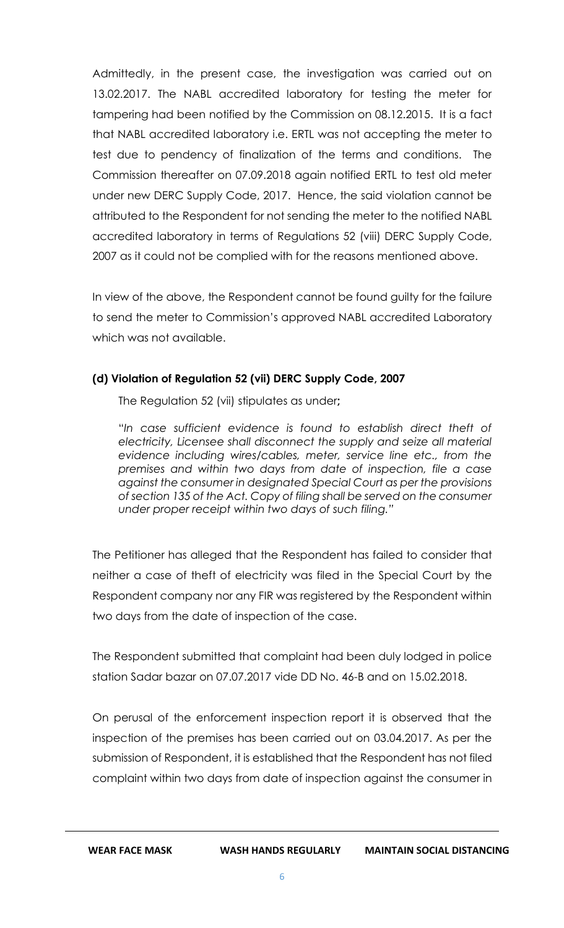Admittedly, in the present case, the investigation was carried out on 13.02.2017. The NABL accredited laboratory for testing the meter for tampering had been notified by the Commission on 08.12.2015. It is a fact that NABL accredited laboratory i.e. ERTL was not accepting the meter to test due to pendency of finalization of the terms and conditions. The Commission thereafter on 07.09.2018 again notified ERTL to test old meter under new DERC Supply Code, 2017. Hence, the said violation cannot be attributed to the Respondent for not sending the meter to the notified NABL accredited laboratory in terms of Regulations 52 (viii) DERC Supply Code, 2007 as it could not be complied with for the reasons mentioned above.

In view of the above, the Respondent cannot be found guilty for the failure to send the meter to Commission's approved NABL accredited Laboratory which was not available.

# **(d) Violation of Regulation 52 (vii) DERC Supply Code, 2007**

The Regulation 52 (vii) stipulates as under**;**

"*In case sufficient evidence is found to establish direct theft of electricity, Licensee shall disconnect the supply and seize all material evidence including wires/cables, meter, service line etc., from the premises and within two days from date of inspection, file a case against the consumer in designated Special Court as per the provisions of section 135 of the Act. Copy of filing shall be served on the consumer under proper receipt within two days of such filing."*

The Petitioner has alleged that the Respondent has failed to consider that neither a case of theft of electricity was filed in the Special Court by the Respondent company nor any FIR was registered by the Respondent within two days from the date of inspection of the case.

The Respondent submitted that complaint had been duly lodged in police station Sadar bazar on 07.07.2017 vide DD No. 46-B and on 15.02.2018.

On perusal of the enforcement inspection report it is observed that the inspection of the premises has been carried out on 03.04.2017. As per the submission of Respondent, it is established that the Respondent has not filed complaint within two days from date of inspection against the consumer in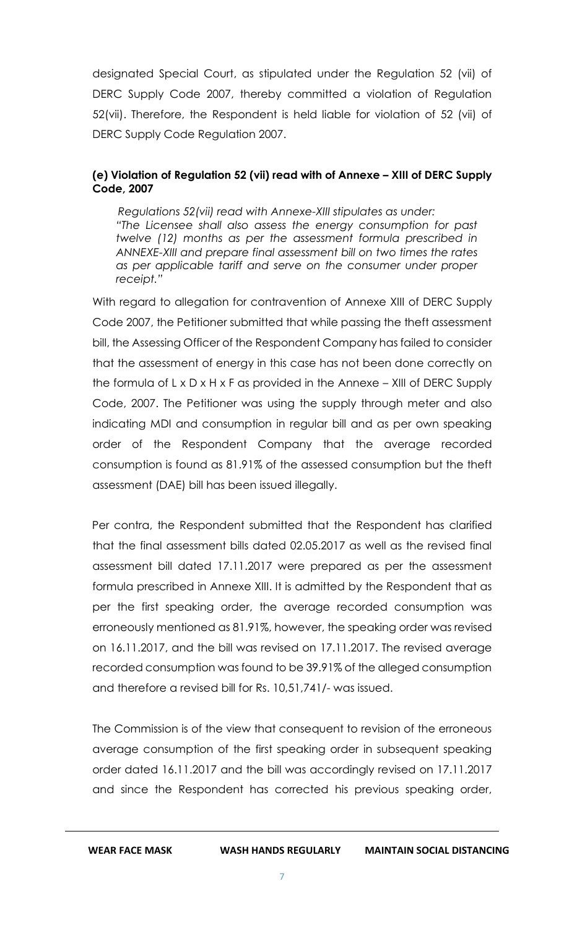designated Special Court, as stipulated under the Regulation 52 (vii) of DERC Supply Code 2007, thereby committed a violation of Regulation 52(vii). Therefore, the Respondent is held liable for violation of 52 (vii) of DERC Supply Code Regulation 2007.

### **(e) Violation of Regulation 52 (vii) read with of Annexe – XIII of DERC Supply Code, 2007**

*Regulations 52(vii) read with Annexe-XIII stipulates as under: "The Licensee shall also assess the energy consumption for past twelve (12) months as per the assessment formula prescribed in ANNEXE-XIII and prepare final assessment bill on two times the rates as per applicable tariff and serve on the consumer under proper receipt."*

With regard to allegation for contravention of Annexe XIII of DERC Supply Code 2007, the Petitioner submitted that while passing the theft assessment bill, the Assessing Officer of the Respondent Company has failed to consider that the assessment of energy in this case has not been done correctly on the formula of L x D x H x F as provided in the Annexe – XIII of DERC Supply Code, 2007. The Petitioner was using the supply through meter and also indicating MDI and consumption in regular bill and as per own speaking order of the Respondent Company that the average recorded consumption is found as 81.91% of the assessed consumption but the theft assessment (DAE) bill has been issued illegally.

 Per contra, the Respondent submitted that the Respondent has clarified that the final assessment bills dated 02.05.2017 as well as the revised final assessment bill dated 17.11.2017 were prepared as per the assessment formula prescribed in Annexe XIII. It is admitted by the Respondent that as per the first speaking order, the average recorded consumption was erroneously mentioned as 81.91%, however, the speaking order was revised on 16.11.2017, and the bill was revised on 17.11.2017. The revised average recorded consumption was found to be 39.91% of the alleged consumption and therefore a revised bill for Rs. 10,51,741/- was issued.

The Commission is of the view that consequent to revision of the erroneous average consumption of the first speaking order in subsequent speaking order dated 16.11.2017 and the bill was accordingly revised on 17.11.2017 and since the Respondent has corrected his previous speaking order,